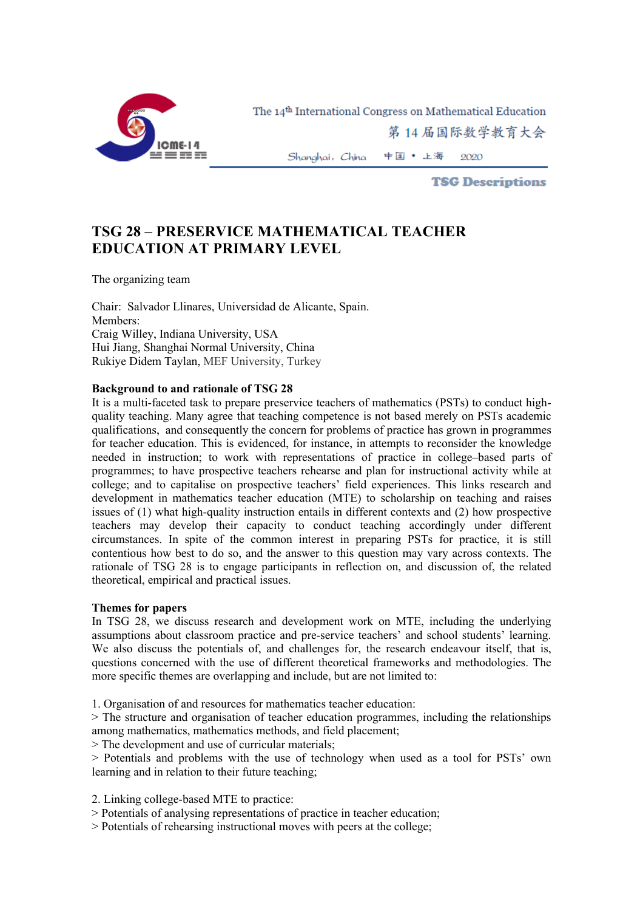

The 14<sup>th</sup> International Congress on Mathematical Education

第14届国际数学教育大会

中国 • 上海 Shanghai, China 2020

**TSG Descriptions** 

## **TSG 28 – PRESERVICE MATHEMATICAL TEACHER EDUCATION AT PRIMARY LEVEL**

The organizing team

Chair: Salvador Llinares, Universidad de Alicante, Spain. Members: Craig Willey, Indiana University, USA Hui Jiang, Shanghai Normal University, China Rukiye Didem Taylan, MEF University, Turkey

## **Background to and rationale of TSG 28**

It is a multi-faceted task to prepare preservice teachers of mathematics (PSTs) to conduct highquality teaching. Many agree that teaching competence is not based merely on PSTs academic qualifications, and consequently the concern for problems of practice has grown in programmes for teacher education. This is evidenced, for instance, in attempts to reconsider the knowledge needed in instruction; to work with representations of practice in college–based parts of programmes; to have prospective teachers rehearse and plan for instructional activity while at college; and to capitalise on prospective teachers' field experiences. This links research and development in mathematics teacher education (MTE) to scholarship on teaching and raises issues of (1) what high-quality instruction entails in different contexts and (2) how prospective teachers may develop their capacity to conduct teaching accordingly under different circumstances. In spite of the common interest in preparing PSTs for practice, it is still contentious how best to do so, and the answer to this question may vary across contexts. The rationale of TSG 28 is to engage participants in reflection on, and discussion of, the related theoretical, empirical and practical issues.

## **Themes for papers**

In TSG 28, we discuss research and development work on MTE, including the underlying assumptions about classroom practice and pre-service teachers' and school students' learning. We also discuss the potentials of, and challenges for, the research endeavour itself, that is, questions concerned with the use of different theoretical frameworks and methodologies. The more specific themes are overlapping and include, but are not limited to:

1. Organisation of and resources for mathematics teacher education:

> The structure and organisation of teacher education programmes, including the relationships among mathematics, mathematics methods, and field placement;

> The development and use of curricular materials;

> Potentials and problems with the use of technology when used as a tool for PSTs' own learning and in relation to their future teaching;

2. Linking college-based MTE to practice:

> Potentials of analysing representations of practice in teacher education;

> Potentials of rehearsing instructional moves with peers at the college;